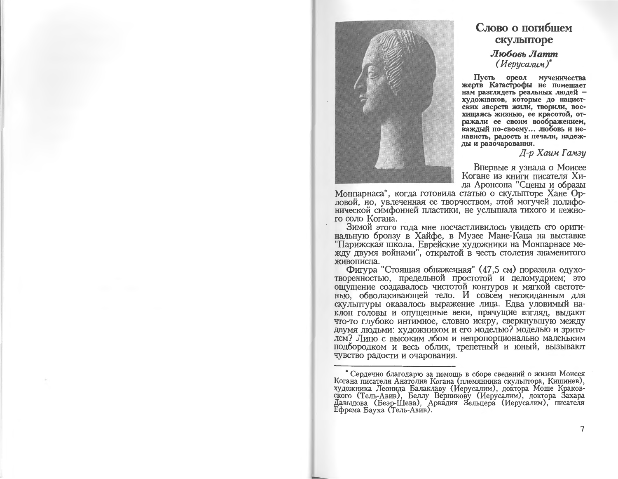

## Слово о погибшем скульпторе Любовь Латт

 $(Hepycanun)^*$ 

Пусть ореол мученичества жертв Катастрофы не помешает нам разглядеть реальных людей художников, которые до нацистских зверств жили, творили, восхищаясь жизнью, ее красотой, отражали ее своим воображением, каждый по-своему... любовь и ненависть, радость и печали, надежды и разочарования.

Д-р Хаим Гамзу

Впервые я узнала о Моисее Когане из книги писателя Хила Аронсона "Сцены и образы

Монпарнаса", когда готовила статью о скульпторе Хане Орловой, но, увлеченная ее творчеством, этой могучей полифонической симфонией пластики, не услышала тихого и нежного соло Когана.

Зимой этого года мне посчастливилось увидеть его оригинальную бронзу в Хайфе, в Музее Мане-Каца на выставке "Парижская школа. Еврейские художники на Монпарнасе между двумя войнами", открытой в честь столетия знаменитого живописца.

Фигура "Стоящая обнаженная" (47,5 см) поразила одухотворенностью, предельной простотой и целомудрием; это ощущение создавалось чистотой контуров и мягкой светотенью, обволакивающей тело. И совсем неожиданным для скульптуры оказалось выражение лица. Едва уловимый наклон головы и опущенные веки, прячущие взгляд, выдают что-то глубоко интимное, словно искру, сверкнувшую между двумя людьми: художником и его моделью? моделью и зрителем? Лицо с высоким лбом и непропорционально маленьким подбородком и весь облик, трепетный и юный, вызывают чувство радости и очарования.

<sup>\*</sup> Сердечно благодарю за помощь в сборе сведений о жизни Моисея Когана писателя Анатолия Когана (племянника скульптора, Кишинев), художника Леонида Балаклаву (Иерусалим), доктора Моше Краковского (Тель-Авив), Беллу Верникову (Иерусалим), доктора Захара<br>Давыдова (Беэр-Шева), Аркадия Зельцера (Иерусалим), писателя Ефрема Бауха (Тель-Авив).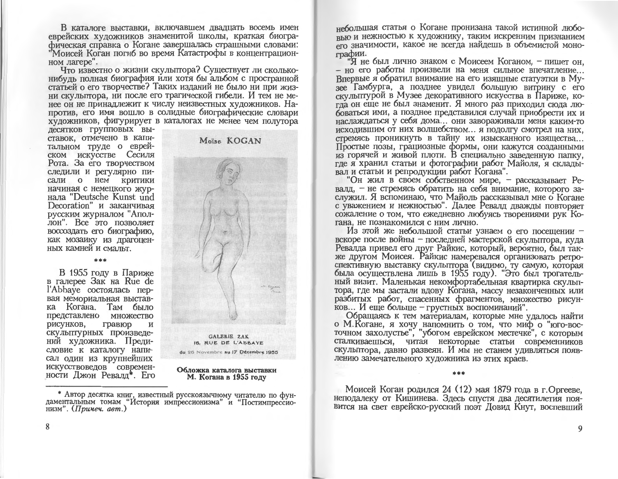В каталоге выставки, включавшем двадцать восемь имен еврейских художников знаменитой школы, краткая биографическая справка о Когане завершалась страшными словами: "Моисей Коган погиб во время Катастрофы в концентрационном лагере".

Что известно о жизни скульптора? Существует ли скольконибуль полная биография или хотя бы альбом с пространной статьей о его творчестве? Таких изданий не было ни при жизни скульптора, ни после его трагической гибели. И тем не менее он не принадлежит к числу неизвестных художников. Напротив, его имя вошло в солидные биографические словари художников, фигурирует в каталогах не менее чем полутора

лесятков групповых выставок, отмечено в капитальном труде о еврейском искусстве Сесиля Рота. За его творчеством следили и регулярно писали о нем критики начиная с немецкого журнала "Deutsche Kunst und Decoration" и заканчивая русским журналом "Аполлон". Все это позволяет воссоздать его биографию. как мозаику из драгоценных камней и смальт.

В 1955 году в Париже в галерее Зак на Rue de l'Abbaye состоялась первая мемориальная выставка Когана. Там было представлено множество рисунков, гравюр  $\mathbf{M}$ скульптурных произведений художника. Предисловие к каталогу написал один из крупнейших искусствоведов современности Джон Ревалд\*. Его

de de de

Moïse KOGAN



<sup>\*</sup> Автор десятка книг, известный русскоязычному читателю по фундаментальным томам "История импрессионизма" и "Постимпрессионизм".  $($ Примеч. авт.)

небольшая статья о Когане пронизана такой истинной любовью и нежностью к художнику, таким искренним признанием его значимости, какое не всегда найдешь в объемистой монографии.

"Я не был лично знаком с Моисеем Коганом. - пишет он. - но его работы произвели на меня сильное впечатление... Впервые я обратил внимание на его изящные статуэтки в Музее Гамбурга, а позднее увидел большую витрину с его скульптурой в Музее декоративного искусства в Париже, когла он еще не был знаменит. Я много раз приходил сюла любоваться ими, а позднее представился случай приобрести их и наслаждаться у себя дома... они завораживали меня каким-то исходившим от них волшебством... я подолгу смотрел на них. стремясь проникнуть в тайну их изысканного изящества... Простые позы, грациозные формы, они кажутся созданными из горячей и живой плоти. В специально заведенную папку, где я хранил статьи и фотографии работ Майоля, я складывал и статьи и репродукции работ Когана".

"Он жил в своем собственном мире, - рассказывает Ревалд, - не стремясь обратить на себя внимание, которого заслужил. Я вспоминаю, что Майоль рассказывал мне о Когане с уважением и нежностью". Далее Ревалд дважды повторяет сожаление о том, что ежедневно любуясь творениями рук Когана, не познакомился с ним лично.

Из этой же небольшой статьи узнаем о его посещении вскоре после войны - последней мастерской скульптора, куда Ревалда привел его друг Райкис, который, вероятно, был также другом Моисея. Райкис намеревался организовать ретроспективную выставку скульптора (видимо, ту самую, которая была осуществлена лишь в 1955 году). "Это был трогательный визит. Маленькая некомфортабельная квартирка скульптора, где мы застали вдову Когана, массу незаконченных или разбитых работ, спасенных фрагментов, множество рисунков... И еще больше - грустных воспоминаний".

Обращаясь к тем материалам, которые мне удалось найти о М. Когане, я хочу напомнить о том, что миф о "юго-восточном захолустье", "убогом еврейском местечке", с которым сталкиваешься, читая некоторые статьи современников скульптора, давно развеян. И мы не станем удивляться появлению замечательного художника из этих краев.

Моисей Коган родился 24 (12) мая 1879 года в г. Оргееве. неподалеку от Кишинева. Здесь спустя два десятилетия появится на свет еврейско-русский поэт Ловид Кнут, воспевший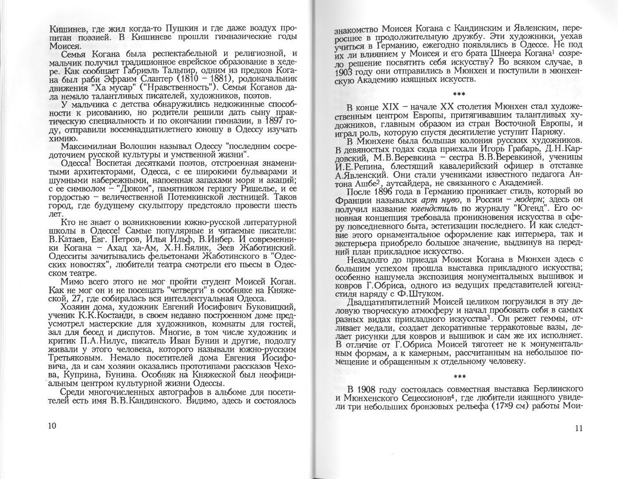Кишинев, где жил когда-то Пушкин и где даже воздух пропитан поэзией. В Кишиневе прошли гимназические годы Моисея.

Семья Когана была респектабельной и религиозной, и мальчик получил традиционное еврейское образование в хедере. Как сообщает Габриэль Тальпир, одним из предков Когана был раби Эфраим Слантер (1810 - 1881), родоначальник лвижения "Ха мусар" ("Нравственность"). Семья Коганов дала немало талантливых писателей, художников, поэтов.

У мальчика с детства обнаружились недюжинные способности к рисованию, но родители решили дать сыну практическую специальность и по окончании гимназии, в 1897 году, отправили восемнадцатилетнего юношу в Одессу изучать химию.

Максимилиан Волошин называл Одессу "последним сосрелоточием русской культуры и умственной жизни".

Одесса! Воспетая десятками поэтов, отстроенная знаменитыми архитекторами, Одесса, с ее широкими бульварами и шумными набережными, напоенная запахами моря и акаций; с ее символом - "Дюком", памятником герцогу Ришелье, и ее гордостью - величественной Потемкинской лестницей. Таков город, где будущему скульптору предстояло провести шесть лет.

Кто не знает о возникновении южно-русской литературной школы в Одессе! Самые популярные и читаемые писатели: В. Катаев, Евг. Петров, Илья Ильф, В. Инбер. И современники Когана – Ахад ха-Ам, Х.Н.Бялик, Зеев Жаботинский. Одесситы зачитывались фельетонами Жаботинского в "Одесских новостях", любители театра смотрели его пьесы в Одесском театре.

Мимо всего этого не мог пройти студент Моисей Коган. Как не мог он и не посещать "четверги" в особняке на Княжеской. 27. где собиралась вся интеллектуальная Одесса.

Хозяин дома, художник Евгений Иосифович Буковицкий, ученик К.К. Костанди, в своем недавно построенном доме предусмотрел мастерские для художников, комнаты для гостей, зал для бесед и диспутов. Многие, в том числе художник и критик П.А.Нилус, писатель Иван Бунин и другие, подолгу живали у этого человека, которого называли южно-русским Третьяковым. Немало посетителей дома Евгения Йосифовича, да и сам хозяин оказались прототипами рассказов Чехова, Куприна, Бунина. Особняк на Княжеской был неофициальным центром культурной жизни Одессы.

Среди многочисленных автографов в альбоме для посетителей есть имя В.В.Кандинского. Видимо, здесь и состоялось знакомство Моисея Когана с Кандинским и Явленским. переросшее в продолжительную дружбу. Эти художники, уехав учиться в Германию, ежегодно появлялись в Одессе. Не под их ли влиянием у Моисея и его брата Шнеера Когана<sup>1</sup> созрело решение посвятить себя искусству? Во всяком случае. в 1903 году они отправились в Мюнхен и поступили в мюнхенскую Академию изящных искусств.

В конце XIX - начале XX столетия Мюнхен стал художественным центром Европы, притягивавшим талантливых хуложников, главным образом из стран Восточной Европы. и играл роль, которую спустя десятилетие уступит Парижу.

В Мюнхене была большая колония русских художников. В левяностых годах сюда приехали Игорь Грабарь, Д.Н.Карловский, М.В.Веревкина - сестра В.В.Веревкиной, ученицы И. Е. Репина, блестящий кавалерийский офицер в отставке А. Явленский. Они стали учениками известного педагога Антона Ашбе<sup>2</sup>, аутсайдера, не связанного с Академией.

После 1896 года в Германию проникает стиль, который во Франции назывался *арт нуво*, в России - модерн; здесь он получил название югендстиль по журналу "Югенд". Его основная концепция требовала проникновения искусства в сферу повседневного быта, эстетизации последнего. И как следствие этого орнаментальное оформление как интерьера, так и экстерьера приобрело большое значение, выдвинув на передний план прикладное искусство.

Незадолго до приезда Моисея Когана в Мюнхен здесь с большим успехом прошла выставка прикладного искусства; особенно нашумела экспозиция монументальных вышивок и ковров Г.Обриса, одного из ведущих представителей югендстиля наряду с Ф.Штуком.

Двадцатилятилетний Моисей целиком погрузился в эту деловую творческую атмосферу и начал пробовать себя в самых разных видах прикладного искусства<sup>3</sup>. Он режет геммы, отливает медали, создает декоративные терракотовые вазы, делает рисунки для ковров и вышивок и сам же их исполняет. В отличие от Г.Обриса Моисей тяготеет не к монументальным формам, а к камерным, рассчитанным на небольшое помещение и обращенным к отдельному человеку.

de de de

В 1908 году состоялась совместная выставка Берлинского и Мюнхенского Сецессионов<sup>4</sup>, где любители изящного увидели три небольших бронзовых рельефа (17х9 см) работы Мои-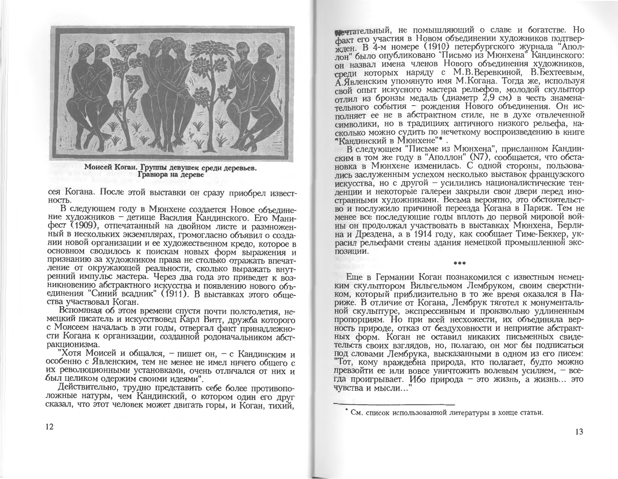

Моисей Коган. Группы девушек среди деревьев. Гравюра на дереве

сея Когана. После этой выставки он сразу приобрел известность.

В следующем году в Мюнхене создается Новое объединение художников - детище Василия Кандинского. Его Манифест (1909), отпечатанный на двойном листе и размноженный в нескольких экземплярах, громогласно объявил о созлании новой организации и ее художественном кредо, которое в основном сводилось к поискам новых форм выражения и признанию за художником права не столько отражать впечатление от окружающей реальности, сколько выражать внутренний импульс мастера. Через два года это приведет к возникновению абстрактного искусства и появлению нового объединения "Синий всадник" (1911). В выставках этого общества участвовал Коган.

Вспоминая об этом времени спустя почти полстолетия, немецкий писатель и искусствовед Карл Витт, дружба которого с Моисеем началась в эти годы, отвергал факт принадлежности Когана к организации, созданной родоначальником абстракционизма.

"Хотя Моисей и общался, - пишет он, - с Кандинским и особенно с Явленским, тем не менее не имел ничего общего с их революционными установками, очень отличался от них и был целиком одержим своими идеями".

Действительно, трудно представить себе более противоположные натуры, чем Кандинский, о котором один его друг сказал, что этот человек может двигать горы, и Коган, тихий.

петательный, не помышляющий о славе и богатстве. Но факт его участия в Новом объединении художников подтвержден. В 4-м номере (1910) петербургского журнала "Аполлон" было опубликовано "Письмо из Мюнхена" Кандинского: он назвал имена членов Нового объединения художников. спели которых наряду с М.В.Веревкиной, В.Бехтеевым. А Явленским упомянуто имя М. Когана. Тогда же, используя свой опыт искусного мастера рельефов, молодой скульптор отлил из бронзы медаль (диаметр 2,9 см) в честь знаменательного события - рождения Нового объединения. Он исполняет ее не в абстрактном стиле, не в духе отвлеченной символики, но в традициях античного низкого рельефа, насколько можно судить по нечеткому воспроизведению в книге "Кандинский в Мюнхене"\* .

В следующем "Письме из Мюнхена", присланном Кандинским в том же году в "Аполлон" (N7), сообщается, что обстановка в Мюнхене изменилась. С одной стороны, пользовались заслуженным успехом несколько выставок французского искусства, но с другой - усилились националистические тенленции и некоторые галереи закрыли свои двери перед иностранными художниками. Весьма вероятно, это обстоятельство и послужило причиной переезда Когана в Париж. Тем не менее все последующие годы вплоть до первой мировой войны он продолжал участвовать в выставках Мюнхена, Берлина и Лрездена, а в 1914 году, как сообщает Тиме-Беккер, украсил рельефами стены злания немецкой промышленной экспозиции.

als als all

Еще в Германии Коган познакомился с известным немецким скульптором Вильгельмом Лембруком, своим сверстником, который приблизительно в то же время оказался в Париже. В отличие от Когана, Лембрук тяготел к монументальной скульптуре, экспрессивным и произвольно удлиненным пропорциям. Но при всей несхожести, их объединяла верность природе, отказ от бездуховности и неприятие абстрактных форм. Коган не оставил никаких письменных свидетельств своих взглядов, но, полагаю, он мог бы подписаться под словами Лембрука, высказанными в одном из его писем: "Тот, кому враждебна природа, кто полагает, будто можно превзойти ее или вовсе уничтожить волевым усилием, - всегда проигрывает. Ибо природа - это жизнь, а жизнь... это ЧУВСТВА И МЫСЛИ...

<sup>•</sup> См. список использованной литературы в конце статьи.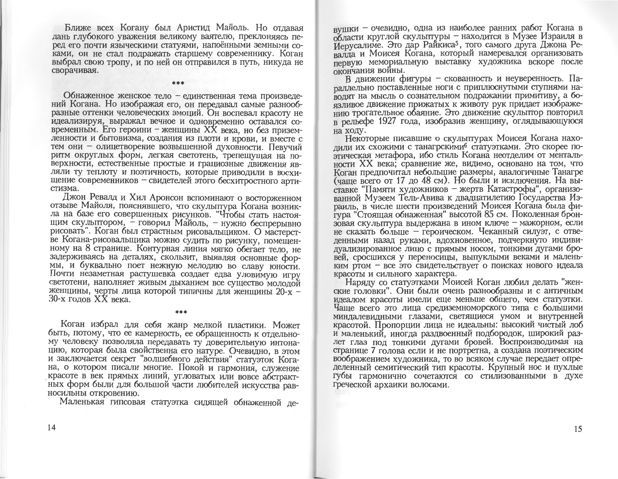Ближе всех Когану был Аристил Майоль. Но отдавая дань глубокого уважения великому ваятелю, преклоняясь перед его почти языческими статуями, напоёнными земными соками, он не стал подражать старшему современнику. Коган выбрал свою тропу, и по ней он отправился в путь, никуда не сворачивая.

Обнаженное женское тело - единственная тема произведений Когана. Но изображая его, он передавал самые разнообразные оттенки человеческих эмоций. Он воспевал красоту не идеализируя, выражал вечное и одновременно оставался современным. Его героини - женщины XX века, но без приземленности и бытовизма, создания из плоти и крови, и вместе с тем они – олицетворение возвышенной духовности. Певучий ритм округлых форм, легкая светотень, трепешущая на поверхности, естественные простые и грациозные движения являли ту теплоту и поэтичность, которые приводили в восхищение современников - свидетелей этого бесхитростного артистизма.

Джон Ревалд и Хил Аронсон вспоминают о восторженном отзыве Майоля, пояснявшего, что скульптура Когана возникла на базе его совершенных рисунков. "Чтобы стать настоящим скульптором, - говорил Майоль, - нужно беспрерывно рисовать". Коган был страстным рисовальщиком. О мастерстве Когана-рисовальщика можно судить по рисунку, помещенному на 8 странице. Контурная линия мягко обегает тело, не задерживаясь на деталях, скользит, выявляя основные формы, и буквально поет нежную мелодию во славу юности. Почти незаметная растушевка создает едва уловимую игру светотени, наполняет живым дыханием все существо молодой женщины, черты лица которой типичны для женщины 20-х -30-х годов XX века.

Коган избрал для себя жанр мелкой пластики. Может быть, потому, что ее камерность, ее обращенность к отдельному человеку позволяла передавать ту доверительную интонацию, которая была свойственна его натуре. Очевидно, в этом и заключается секрет "волшебного действия" статуэток Когана, о котором писали многие. Покой и гармония, служение красоте в век прямых линий, угловатых или вовсе абстрактных форм были для большой части любителей искусства равносильны откровению.

Маленькая гипсовая статуэтка сидящей обнаженной де-

вушки - очевидно, одна из наиболее ранних работ Когана в области круглой скульптуры - находится в Музее Израиля в Иерусалиме. Это дар Райкиса<sup>5</sup>, того самого друга Джона Ревалла и Моисея Когана, который намеревался организовать первую мемориальную выставку художника вскоре после окончания войны.

В движении фигуры - скованность и неуверенность. Парадлельно поставленные ноги с приплюснутыми ступнями наводят на мысль о сознательном подражании примитиву, а боязливое движение прижатых к животу рук придает изображению трогательное обаяние. Это движение скулыттор повторил в рельефе 1927 года, изобразив женщину, оглядывающуюся на ходу.

Некоторые писавшие о скульптурах Моисея Когана нахолили их схожими с танагрскими<sup>6</sup> статуэтками. Это скорее поэтическая метафора, ибо стиль Когана неотделим от ментальности XX века: сравнение же, видимо, основано на том, что Коган предпочитал небольшие размеры, аналогичные Танагре (чаще всего от 17 до 48 см). Но были и исключения. На выставке "Памяти художников - жертв Катастрофы", организованной Музеем Тель-Авива к двадцатилетию Государства Израиль, в числе шести произведений Моисея Когана была фигура "Стоящая обнаженная" высотой 85 см. Поколенная бронзовая скульптура выдержана в ином ключе - мажорном, если не сказать больше - героическом. Чеканный силуэт, с отведенными назад руками, вдохновенное, подчеркнуто индивидуализированное лицо с прямым носом, тонкими дугами бровей, сросшихся у переносицы, выпуклыми веками и маленьким ртом - все это свидетельствует о поисках нового идеала красоты и сильного характера.

Наряду со статуэтками Моисей Коган любил делать "женские головки". Они были очень разнообразны и с античным идеалом красоты имели еще меньше общего, чем статуэтки. Чаще всего это лица средиземноморского типа с большими миндалевидными глазами, светящиеся умом и внутренней красотой. Пропорции лица не идеальны: высокий чистый лоб и маленький, иногда раздвоенный подбородок, широкий разлет глаз под тонкими дугами бровей. Воспроизводимая на странице 7 голова если и не портретна, а создана поэтическим воображением художника, то во всяком случае передает определенный семитический тип красоты. Крупный нос и пухлые губы гармонично сочетаются со стилизованными в духе греческой архаики волосами.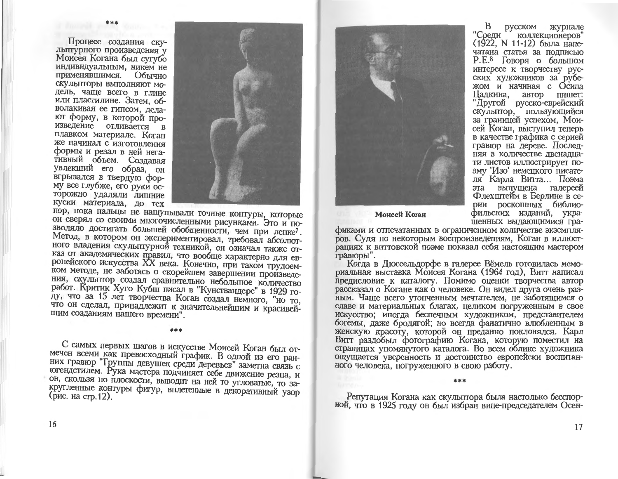Процесс создания ску-**ЛЫТТУРНОГО ПРОИЗВЕДЕНИЯ V** Моисея Когана был сугубо индивидуальным, никем не применявшимся. Обычно скульпторы выполняют модель, чаще всего в глине или пластилине. Затем, обволакивая ее гипсом, делают форму, в которой произведение отливается в плавком материале. Коган же начинал с изготовления формы и резал в ней негативный объем. Создавая увлекший его образ, он вгрызался в твердую форму все глубже, его руки осторожно удаляли лишние куски материала, до тех



пор, пока пальцы не нащупывали точные контуры, которые он сверял со своими многочисленными рисунками. Это и позволяло достигать большей обобщенности, чем при лепке7. Метод, в котором он экспериментировал, требовал абсолютного владения скульптурной техникой, он означал также отказ от академических правил, что вообще характерно для европейского искусства XX века. Конечно, при таком трудоемком методе, не заботясь о скорейшем завершении произведения, скульптор создал сравнительно небольшое количество работ. Критик Хуго Кубш писал в "Кунствандере" в 1929 году, что за 15 лет творчества Коган создал немного, "но то, что он сделал, принадлежит к значительнейшим и красивейшим созданиям нашего времени".

С самых первых шагов в искусстве Моисей Коган был отмечен всеми как превосходный график. В одной из его ранних гравюр "Группы девушек среди деревьев" заметна связь с югендстилем. Рука мастера подчиняет себе движение резца, и он, скользя по плоскости, выводит на ней то угловатые, то закругленные контуры фигур, вплетенные в декоративный узор (рис. на стр. 12).

\*\*\*



**русском** журнале "Среди коллекционеров" (1922. N 11-12) была напечатана статья за подписью Р.Е.<sup>8</sup> Говоря о большом интересе к творчеству русских художников за рубежом и начиная с Осипа Палкина. автор пишет: "Другой русско-еврейский скульптор, пользующийся за границей успехом, Моисей Коган, выступил теперь в качестве графика с серией гравюр на дереве. Последняя в количестве двенадцати листов иллюстрирует поэму 'Изо' немецкого писателя Карла Витта... Поэма эта выпущена галереей Флехштейм в Берлине в серии роскошных библиофильских изданий, украшенных выдающимися гра-

Моисей Коган

фиками и отпечатанных в ограниченном количестве экземпляров. Судя по некоторым воспроизведениям, Коган в иллюстрациях к виттовской поэме показал себя настоящим мастером гравюры".

Когда в Дюссельдорфе в галерее Вёмель готовилась мемориальная выставка Моисея Когана (1964 год), Витт написал предисловие к каталогу. Помимо оценки творчества автор рассказал о Когане как о человеке. Он видел друга очень разным. Чаще всего утонченным мечтателем, не заботящимся о славе и материальных благах, целиком погруженным в свое искусство; иногда беспечным художником, представителем богемы, даже бродятой; но всегда фанатично влюбленным в женскую красоту, которой он преданно поклонялся. Карл Витт раздобыл фотографию Когана, которую поместил на страницах упомянутого каталога. Во всем облике художника ощущается уверенность и достоинство европейски воспитанного человека, погруженного в свою работу.

Репутация Когана как скульптора была настолько бесспорной, что в 1925 году он был избран вице-председателем Осен